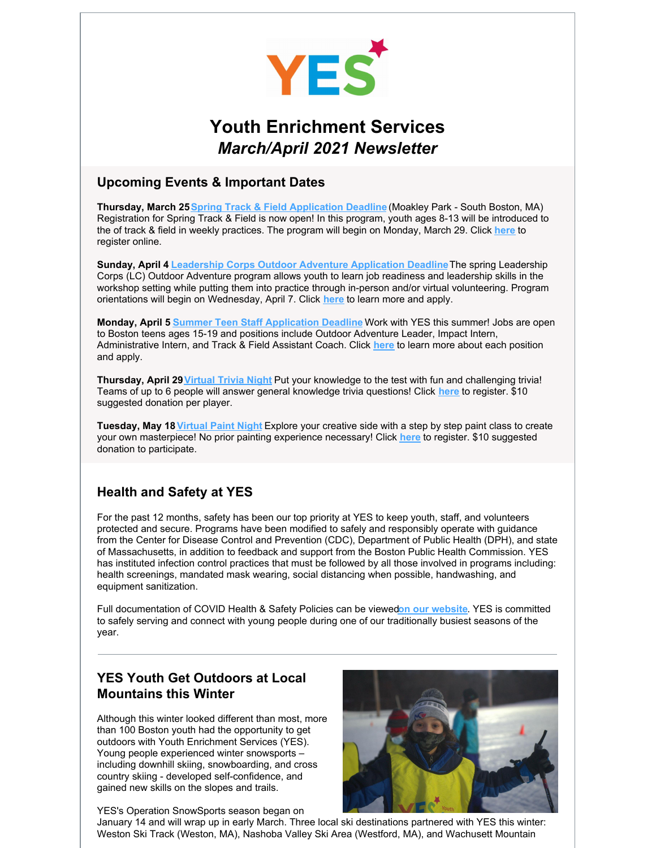

# **Youth Enrichment Services** *March/April 2021 Newsletter*

#### **Upcoming Events & Important Dates**

**Thursday, March 25Spring Track & Field [Application](https://fs30.formsite.com/volunteeryeskidsorg/rkyhru5mrp/index.html) Deadline** (Moakley Park - South Boston, MA) Registration for Spring Track & Field is now open! In this program, youth ages 8-13 will be introduced to the of track & field in weekly practices. The program will begin on Monday, March 29. Click **[here](https://fs30.formsite.com/volunteeryeskidsorg/rkyhru5mrp/index.html)** to register online.

**Sunday, April 4 Leadership Corps Outdoor Adventure [Application](https://yeskids.org/lcorps/) Deadline**The spring Leadership Corps (LC) Outdoor Adventure program allows youth to learn job readiness and leadership skills in the workshop setting while putting them into practice through in-person and/or virtual volunteering. Program orientations will begin on Wednesday, April 7. Click **[here](https://yeskids.org/lcorps/)** to learn more and apply.

**Monday, April 5 Summer Teen Staff [Application](https://yeskids.org/teen-employment/) Deadline** Work with YES this summer! Jobs are open to Boston teens ages 15-19 and positions include Outdoor Adventure Leader, Impact Intern, Administrative Intern, and Track & Field Assistant Coach. Click **[here](https://yeskids.org/teen-employment/)** to learn more about each position and apply.

**Thursday, April 29[Virtual](https://www.eventbrite.com/e/virtual-trivia-night-tickets-146798302675) Trivia Night** Put your knowledge to the test with fun and challenging trivia! Teams of up to 6 people will answer general knowledge trivia questions! Click **[here](https://www.eventbrite.com/e/virtual-trivia-night-tickets-146798302675)** to register. \$10 suggested donation per player.

**Tuesday, May 18[Virtual](https://www.eventbrite.com/e/virtual-paint-night-tickets-146799546395) Paint Night** Explore your creative side with a step by step paint class to create your own masterpiece! No prior painting experience necessary! Click **[here](https://www.eventbrite.com/e/virtual-paint-night-tickets-146799546395)** to register. \$10 suggested donation to participate.

## **Health and Safety at YES**

For the past 12 months, safety has been our top priority at YES to keep youth, staff, and volunteers protected and secure. Programs have been modified to safely and responsibly operate with guidance from the Center for Disease Control and Prevention (CDC), Department of Public Health (DPH), and state of Massachusetts, in addition to feedback and support from the Boston Public Health Commission. YES has instituted infection control practices that must be followed by all those involved in programs including: health screenings, mandated mask wearing, social distancing when possible, handwashing, and equipment sanitization.

Full documentation of COVID Health & Safety Policies can be viewed**on our [website](https://yeskids.org/wp-content/uploads/YES-OS-Covid-Policies.pdf)**. YES is committed to safely serving and connect with young people during one of our traditionally busiest seasons of the year.

# **YES Youth Get Outdoors at Local Mountains this Winter**

Although this winter looked different than most, more than 100 Boston youth had the opportunity to get outdoors with Youth Enrichment Services (YES). Young people experienced winter snowsports – including downhill skiing, snowboarding, and cross country skiing - developed self-confidence, and gained new skills on the slopes and trails.

YES's Operation SnowSports season began on



January 14 and will wrap up in early March. Three local ski destinations partnered with YES this winter: Weston Ski Track (Weston, MA), Nashoba Valley Ski Area (Westford, MA), and Wachusett Mountain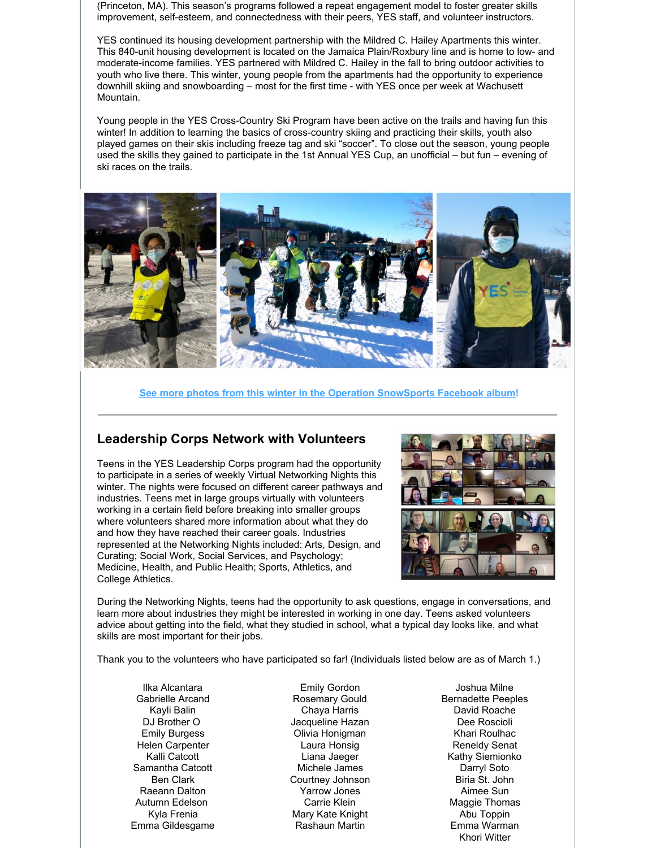(Princeton, MA). This season's programs followed a repeat engagement model to foster greater skills improvement, self-esteem, and connectedness with their peers, YES staff, and volunteer instructors.

YES continued its housing development partnership with the Mildred C. Hailey Apartments this winter. This 840-unit housing development is located on the Jamaica Plain/Roxbury line and is home to low- and moderate-income families. YES partnered with Mildred C. Hailey in the fall to bring outdoor activities to youth who live there. This winter, young people from the apartments had the opportunity to experience downhill skiing and snowboarding – most for the first time - with YES once per week at Wachusett Mountain.

Young people in the YES Cross-Country Ski Program have been active on the trails and having fun this winter! In addition to learning the basics of cross-country skiing and practicing their skills, youth also played games on their skis including freeze tag and ski "soccer". To close out the season, young people used the skills they gained to participate in the 1st Annual YES Cup, an unofficial – but fun – evening of ski races on the trails.



**See more photos from this winter in the Operation [SnowSports](https://www.facebook.com/media/set/?vanity=yeskidsboston&set=a.10158883992771224) Facebook album!**

#### **Leadership Corps Network with Volunteers**

Teens in the YES Leadership Corps program had the opportunity to participate in a series of weekly Virtual Networking Nights this winter. The nights were focused on different career pathways and industries. Teens met in large groups virtually with volunteers working in a certain field before breaking into smaller groups where volunteers shared more information about what they do and how they have reached their career goals. Industries represented at the Networking Nights included: Arts, Design, and Curating; Social Work, Social Services, and Psychology; Medicine, Health, and Public Health; Sports, Athletics, and College Athletics.



During the Networking Nights, teens had the opportunity to ask questions, engage in conversations, and learn more about industries they might be interested in working in one day. Teens asked volunteers advice about getting into the field, what they studied in school, what a typical day looks like, and what skills are most important for their jobs.

Thank you to the volunteers who have participated so far! (Individuals listed below are as of March 1.)

Ilka Alcantara Gabrielle Arcand Kayli Balin DJ Brother O Emily Burgess Helen Carpenter Kalli Catcott Samantha Catcott Ben Clark Raeann Dalton Autumn Edelson Kyla Frenia Emma Gildesgame

Emily Gordon Rosemary Gould Chaya Harris Jacqueline Hazan Olivia Honigman Laura Honsig Liana Jaeger Michele James Courtney Johnson Yarrow Jones Carrie Klein Mary Kate Knight Rashaun Martin

Joshua Milne Bernadette Peeples David Roache Dee Roscioli Khari Roulhac Reneldy Senat Kathy Siemionko Darryl Soto Biria St. John Aimee Sun Maggie Thomas Abu Toppin Emma Warman Khori Witter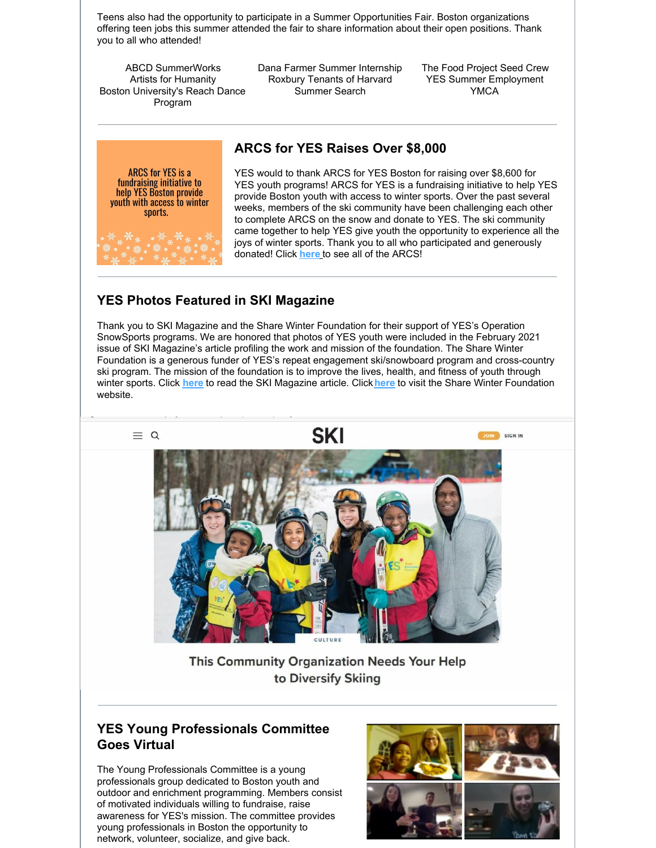Teens also had the opportunity to participate in a Summer Opportunities Fair. Boston organizations offering teen jobs this summer attended the fair to share information about their open positions. Thank you to all who attended!

ABCD SummerWorks Artists for Humanity Boston University's Reach Dance Program

Dana Farmer Summer Internship Roxbury Tenants of Harvard Summer Search

The Food Project Seed Crew YES Summer Employment YMCA

# **ARCS for YES Raises Over \$8,000**

**ARCS for YES is a fundraising initiative to<br>help YES Boston provide** youth with access to winter sports.

YES would to thank ARCS for YES Boston for raising over \$8,600 for YES youth programs! ARCS for YES is a fundraising initiative to help YES provide Boston youth with access to winter sports. Over the past several weeks, members of the ski community have been challenging each other to complete ARCS on the snow and donate to YES. The ski community came together to help YES give youth the opportunity to experience all the joys of winter sports. Thank you to all who participated and generously donated! Click **[here](https://www.instagram.com/arcsforyesboston/?hl=en)** to see all of the ARCS!

# **YES Photos Featured in SKI Magazine**

Thank you to SKI Magazine and the Share Winter Foundation for their support of YES's Operation SnowSports programs. We are honored that photos of YES youth were included in the February 2021 issue of SKI Magazine's article profiling the work and mission of the foundation. The Share Winter Foundation is a generous funder of YES's repeat engagement ski/snowboard program and cross-country ski program. The mission of the foundation is to improve the lives, health, and fitness of youth through winter sports. Click **[here](https://www.skimag.com/culture/this-community-organization-needs-your-help-to-diversify-skiing/)** to read the SKI Magazine article. Click**[here](https://www.sharewinterfoundation.org)** to visit the Share Winter Foundation website.



This Community Organization Needs Your Help to Diversify Skiing

### **YES Young Professionals Committee Goes Virtual**

The Young Professionals Committee is a young professionals group dedicated to Boston youth and outdoor and enrichment programming. Members consist of motivated individuals willing to fundraise, raise awareness for YES's mission. The committee provides young professionals in Boston the opportunity to network, volunteer, socialize, and give back.